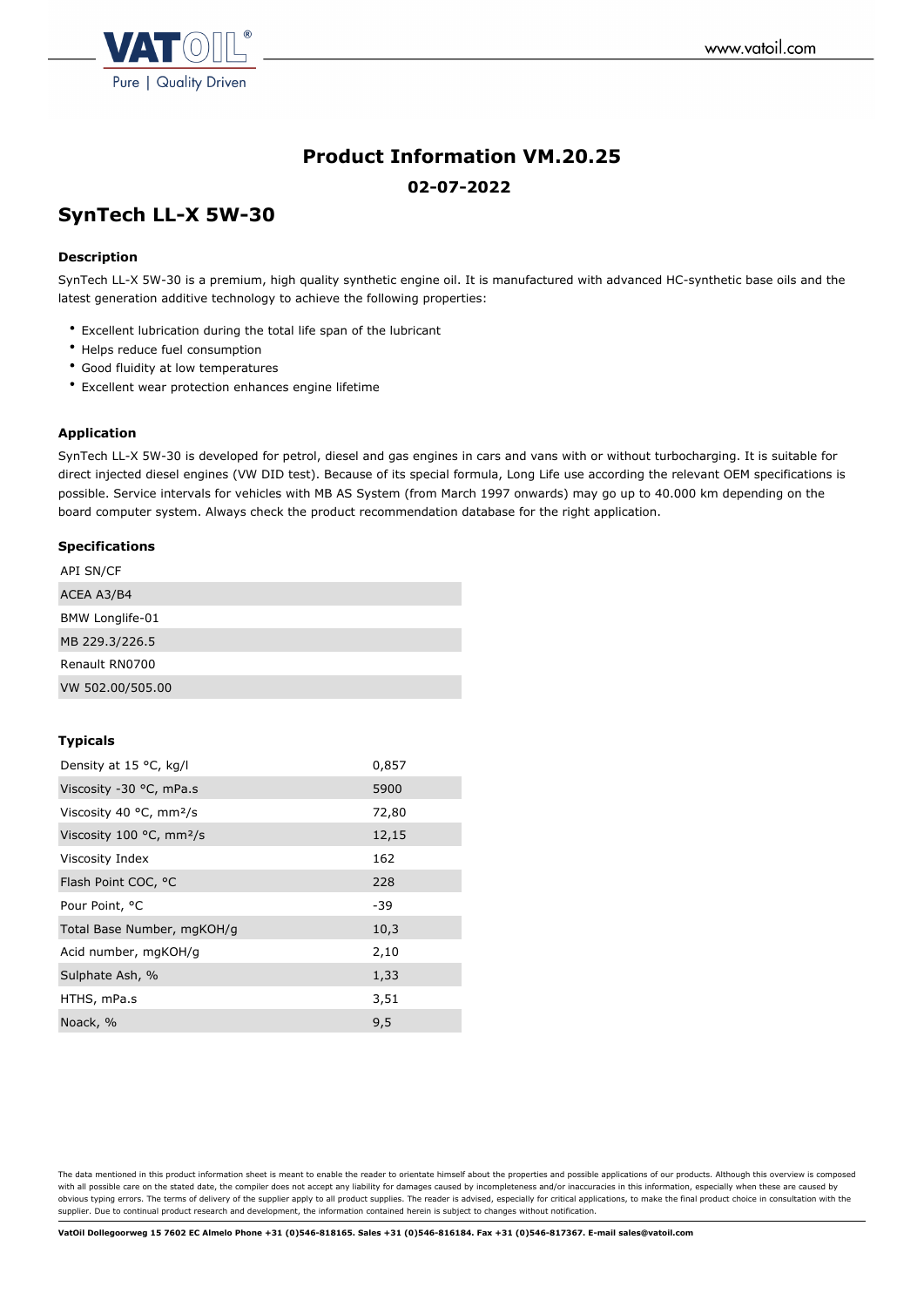

# **Product Information VM.20.25 02-07-2022**

## **SynTech LL-X 5W-30**

## **Description**

SynTech LL-X 5W-30 is a premium, high quality synthetic engine oil. It is manufactured with advanced HC-synthetic base oils and the latest generation additive technology to achieve the following properties:

- Excellent lubrication during the total life span of the lubricant
- Helps reduce fuel consumption
- Good fluidity at low temperatures
- Excellent wear protection enhances engine lifetime

## **Application**

SynTech LL-X 5W-30 is developed for petrol, diesel and gas engines in cars and vans with or without turbocharging. It is suitable for direct injected diesel engines (VW DID test). Because of its special formula, Long Life use according the relevant OEM specifications is possible. Service intervals for vehicles with MB AS System (from March 1997 onwards) may go up to 40.000 km depending on the board computer system. Always check the product recommendation database for the right application.

#### **Specifications**

| <b>API SN/CF</b>       |  |  |
|------------------------|--|--|
| ACEA A3/B4             |  |  |
| <b>BMW Longlife-01</b> |  |  |
| MB 229.3/226.5         |  |  |
| Renault RN0700         |  |  |
| VW 502.00/505.00       |  |  |

#### **Typicals**

| Density at 15 °C, kg/l                        | 0,857 |
|-----------------------------------------------|-------|
| Viscosity -30 °C, mPa.s                       | 5900  |
| Viscosity 40 $\degree$ C, mm <sup>2</sup> /s  | 72,80 |
| Viscosity 100 $\degree$ C, mm <sup>2</sup> /s | 12,15 |
| Viscosity Index                               | 162   |
| Flash Point COC, °C                           | 228   |
| Pour Point, °C                                | -39   |
| Total Base Number, mgKOH/g                    | 10,3  |
| Acid number, mgKOH/g                          | 2,10  |
| Sulphate Ash, %                               | 1,33  |
| HTHS, mPa.s                                   | 3,51  |
| Noack, %                                      | 9,5   |

The data mentioned in this product information sheet is meant to enable the reader to orientate himself about the properties and possible applications of our products. Although this overview is composed with all possible care on the stated date, the compiler does not accept any liability for damages caused by incompleteness and/or inaccuracies in this information, especially when these are caused by obvious typing errors. The terms of delivery of the supplier apply to all product supplies. The reader is advised, especially for critical applications, to make the final product choice in consultation with the supplier. Due to continual product research and development, the information contained herein is subject to changes without notification.